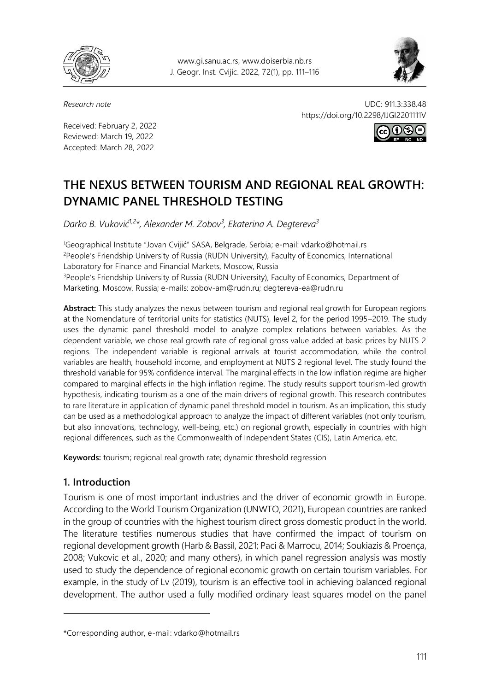

www.gi.sanu.ac.rs, www.doiserbia.nb.rs J. Geogr. Inst. Cvijic. 2022, 72(1), pp. 111–116



Received: February 2, 2022 Reviewed: March 19, 2022 Accepted: March 28, 2022

*Research note* UDC: 911.3:338.48 https://doi.org/10.2298/IJGI2201111V



# **THE NEXUS BETWEEN TOURISM AND REGIONAL REAL GROWTH: DYNAMIC PANEL THRESHOLD TESTING**

*Darko B. Vuković1,2\*, Alexander M. Zobov<sup>3</sup> , Ekaterina A. Degtereva<sup>3</sup>*

<sup>1</sup>Geographical Institute "Jovan Cvijić" SASA, Belgrade, Serbia; e-mail: vdarko@hotmail.rs <sup>2</sup>People's Friendship University of Russia (RUDN University), Faculty of Economics, International Laboratory for Finance and Financial Markets, Moscow, Russia <sup>3</sup>People's Friendship University of Russia (RUDN University), Faculty of Economics, Department of Marketing, Moscow, Russia; e-mails: zobov-am@rudn.ru; degtereva-ea@rudn.ru

**Abstract:** This study analyzes the nexus between tourism and regional real growth for European regions at the Nomenclature of territorial units for statistics (NUTS), level 2, for the period 1995–2019. The study uses the dynamic panel threshold model to analyze complex relations between variables. As the dependent variable, we chose real growth rate of regional gross value added at basic prices by NUTS 2 regions. The independent variable is regional arrivals at tourist accommodation, while the control variables are health, household income, and employment at NUTS 2 regional level. The study found the threshold variable for 95% confidence interval. The marginal effects in the low inflation regime are higher compared to marginal effects in the high inflation regime. The study results support tourism-led growth hypothesis, indicating tourism as a one of the main drivers of regional growth. This research contributes to rare literature in application of dynamic panel threshold model in tourism. As an implication, this study can be used as a methodological approach to analyze the impact of different variables (not only tourism, but also innovations, technology, well-being, etc.) on regional growth, especially in countries with high regional differences, such as the Commonwealth of Independent States (CIS), Latin America, etc.

**Keywords:** tourism; regional real growth rate; dynamic threshold regression

# **1. Introduction**

 $\overline{a}$ 

Tourism is one of most important industries and the driver of economic growth in Europe. According to the World Tourism Organization (UNWTO, 2021), European countries are ranked in the group of countries with the highest tourism direct gross domestic product in the world. The literature testifies numerous studies that have confirmed the impact of tourism on regional development growth (Harb & Bassil, 2021; Paci & Marrocu, 2014; Soukiazis & Proença, 2008; Vukovic et al., 2020; and many others), in which panel regression analysis was mostly used to study the dependence of regional economic growth on certain tourism variables. For example, in the study of Lv (2019), tourism is an effective tool in achieving balanced regional development. The author used a fully modified ordinary least squares model on the panel

<sup>\*</sup>Corresponding author, e-mail[: vdarko@hotmail.rs](mailto:vdarko@hotmail.rs)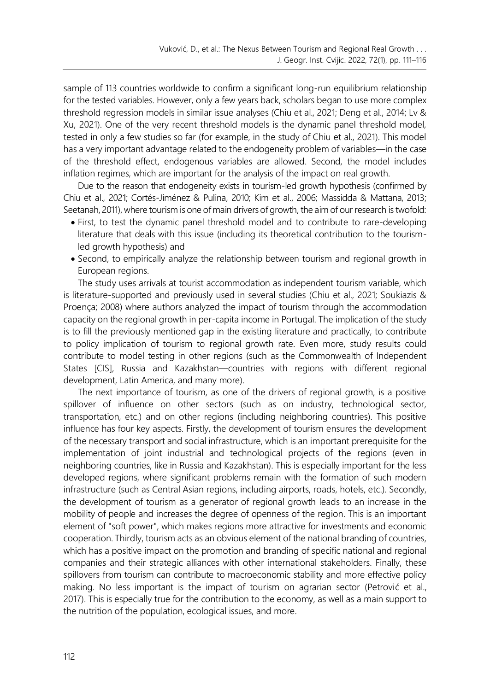sample of 113 countries worldwide to confirm a significant long-run equilibrium relationship for the tested variables. However, only a few years back, scholars began to use more complex threshold regression models in similar issue analyses (Chiu et al., 2021; Deng et al., 2014; Lv & Xu, 2021). One of the very recent threshold models is the dynamic panel threshold model, tested in only a few studies so far (for example, in the study of Chiu et al., 2021). This model has a very important advantage related to the endogeneity problem of variables—in the case of the threshold effect, endogenous variables are allowed. Second, the model includes inflation regimes, which are important for the analysis of the impact on real growth.

Due to the reason that endogeneity exists in tourism-led growth hypothesis (confirmed by Chiu et al., 2021; Cortés-Jiménez & Pulina, 2010; Kim et al., 2006; Massidda & Mattana, 2013; Seetanah, 2011), where tourism is one of main drivers of growth, the aim of our research is twofold:

- First, to test the dynamic panel threshold model and to contribute to rare-developing literature that deals with this issue (including its theoretical contribution to the tourismled growth hypothesis) and
- Second, to empirically analyze the relationship between tourism and regional growth in European regions.

The study uses arrivals at tourist accommodation as independent tourism variable, which is literature-supported and previously used in several studies (Chiu et al., 2021; Soukiazis & Proença; 2008) where authors analyzed the impact of tourism through the accommodation capacity on the regional growth in per-capita income in Portugal. The implication of the study is to fill the previously mentioned gap in the existing literature and practically, to contribute to policy implication of tourism to regional growth rate. Even more, study results could contribute to model testing in other regions (such as the Commonwealth of Independent States [CIS], Russia and Kazakhstan—countries with regions with different regional development, Latin America, and many more).

The next importance of tourism, as one of the drivers of regional growth, is a positive spillover of influence on other sectors (such as on industry, technological sector, transportation, etc.) and on other regions (including neighboring countries). This positive influence has four key aspects. Firstly, the development of tourism ensures the development of the necessary transport and social infrastructure, which is an important prerequisite for the implementation of joint industrial and technological projects of the regions (even in neighboring countries, like in Russia and Kazakhstan). This is especially important for the less developed regions, where significant problems remain with the formation of such modern infrastructure (such as Central Asian regions, including airports, roads, hotels, etc.). Secondly, the development of tourism as a generator of regional growth leads to an increase in the mobility of people and increases the degree of openness of the region. This is an important element of "soft power", which makes regions more attractive for investments and economic cooperation. Thirdly, tourism acts as an obvious element of the national branding of countries, which has a positive impact on the promotion and branding of specific national and regional companies and their strategic alliances with other international stakeholders. Finally, these spillovers from tourism can contribute to macroeconomic stability and more effective policy making. No less important is the impact of tourism on agrarian sector (Petrović et al., 2017). This is especially true for the contribution to the economy, as well as a main support to the nutrition of the population, ecological issues, and more.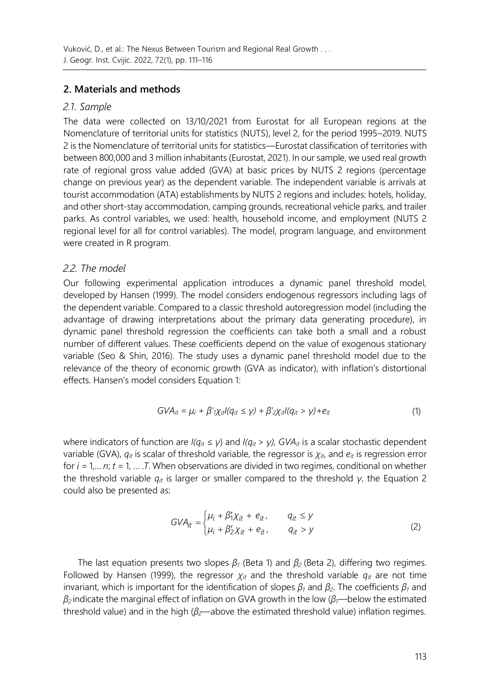# **2. Materials and methods**

### *2.1. Sample*

The data were collected on 13/10/2021 from Eurostat for all European regions at the Nomenclature of territorial units for statistics (NUTS), level 2, for the period 1995–2019. NUTS 2 is the Nomenclature of territorial units for statistics—Eurostat classification of territories with between 800,000 and 3 million inhabitants (Eurostat, 2021). In our sample, we used real growth rate of regional gross value added (GVA) at basic prices by NUTS 2 regions (percentage change on previous year) as the dependent variable. The independent variable is arrivals at tourist accommodation (ATA) establishments by NUTS 2 regions and includes: hotels, holiday, and other short-stay accommodation, camping grounds, recreational vehicle parks, and trailer parks. As control variables, we used: health, household income, and employment (NUTS 2 regional level for all for control variables). The model, program language, and environment were created in R program.

# *2.2. The model*

Our following experimental application introduces a dynamic panel threshold model, developed by Hansen (1999). The model considers endogenous regressors including lags of the dependent variable. Compared to a classic threshold autoregression model (including the advantage of drawing interpretations about the primary data generating procedure), in dynamic panel threshold regression the coefficients can take both a small and a robust number of different values. These coefficients depend on the value of exogenous stationary variable (Seo & Shin, 2016). The study uses a dynamic panel threshold model due to the relevance of the theory of economic growth (GVA as indicator), with inflation's distortional effects. Hansen's model considers Equation 1:

$$
GVA_{it} = \mu_i + \beta' \gamma_{it}/(q_{it} \le \gamma) + \beta' \gamma_{it}/(q_{it} > \gamma) + e_{it}
$$
 (1)

where indicators of function are *I(qit ≤ γ*) and *I(qit > γ), GVAit* is a scalar stochastic dependent variable (GVA), *qit* is scalar of threshold variable, the regressor is *χit*, and *eit* is regression error for *i* = 1,… *n*; *t* = 1, … .*T*. When observations are divided in two regimes, conditional on whether the threshold variable *qit* is larger or smaller compared to the threshold *γ*, the Equation 2 could also be presented as:

$$
GVA_{it} = \begin{cases} \mu_i + \beta'_1 \chi_{it} + e_{it}, & q_{it} \le y \\ \mu_i + \beta'_2 \chi_{it} + e_{it}, & q_{it} > y \end{cases}
$$
 (2)

The last equation presents two slopes *β<sup>1</sup>* (Beta 1) and *β<sup>2</sup>* (Beta 2), differing two regimes. Followed by Hansen (1999), the regressor  $\chi_{it}$  and the threshold variable  $q_{it}$  are not time invariant, which is important for the identification of slopes *β<sup>1</sup>* and *β2*. The coefficients *β<sup>1</sup>* and *β<sup>2</sup>* indicate the marginal effect of inflation on GVA growth in the low (*β1*—below the estimated threshold value) and in the high (*β2*—above the estimated threshold value) inflation regimes.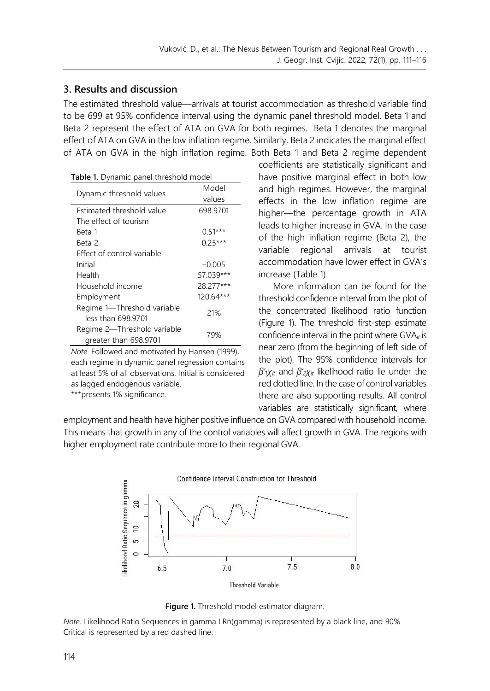### **3. Results and discussion**

The estimated threshold value—arrivals at tourist accommodation as threshold variable find to be 699 at 95% confidence interval using the dynamic panel threshold model. Beta 1 and Beta 2 represent the effect of ATA on GVA for both regimes. Beta 1 denotes the marginal effect of ATA on GVA in the low inflation regime. Similarly, Beta 2 indicates the marginal effect of ATA on GVA in the high inflation regime. Both Beta 1 and Beta 2 regime dependent

|  | Table 1. Dynamic panel threshold model |  |
|--|----------------------------------------|--|

|                                                      | Model       |  |
|------------------------------------------------------|-------------|--|
| Dynamic threshold values                             | values      |  |
| Estimated threshold value                            | 698.9701    |  |
| The effect of tourism                                |             |  |
| Beta 1                                               | $0.51***$   |  |
| Beta 2                                               | $0.25***$   |  |
| Effect of control variable                           |             |  |
| Initial                                              | $-0.005$    |  |
| Health                                               | 57.039***   |  |
| Household income                                     | 28.277***   |  |
| Employment                                           | $120.64***$ |  |
| Regime 1-Threshold variable<br>less than 698.9701    | 21%         |  |
| Regime 2-Threshold variable<br>greater than 698.9701 | 79%         |  |

*Note.* Followed and motivated by Hansen (1999), each regime in dynamic panel regression contains at least 5% of all observations. Initial is considered as lagged endogenous variable.

\*\*\*presents 1% significance.

coefficients are statistically significant and have positive marginal effect in both low and high regimes. However, the marginal effects in the low inflation regime are higher—the percentage growth in ATA leads to higher increase in GVA. In the case of the high inflation regime (Beta 2), the variable regional arrivals at tourist accommodation have lower effect in GVA's increase (Table 1).

More information can be found for the threshold confidence interval from the plot of the concentrated likelihood ratio function (Figure 1). The threshold first-step estimate confidence interval in the point where GVA<sub>it</sub> is near zero (from the beginning of left side of the plot). The 95% confidence intervals for *β'1χit* and *β'2χit* likelihood ratio lie under the red dotted line. In the case of control variables there are also supporting results. All control variables are statistically significant, where

employment and health have higher positive influence on GVA compared with household income. This means that growth in any of the control variables will affect growth in GVA. The regions with higher employment rate contribute more to their regional GVA.



**Figure 1.** Threshold model estimator diagram.

*Note.* Likelihood Ratio Sequences in gamma LRn(gamma) is represented by a black line, and 90% Critical is represented by a red dashed line.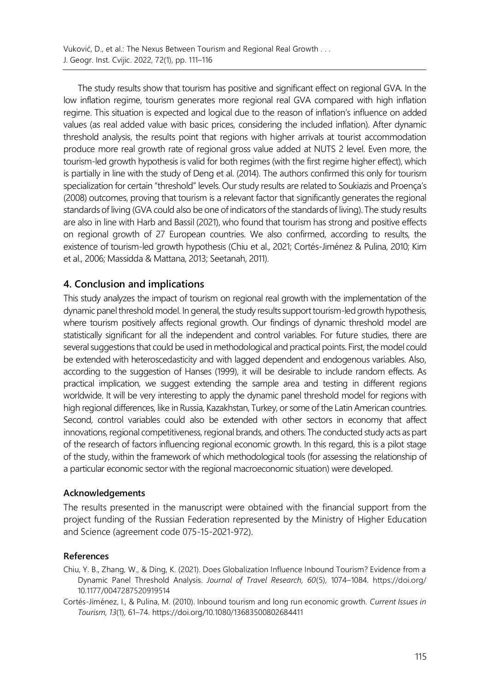The study results show that tourism has positive and significant effect on regional GVA. In the low inflation regime, tourism generates more regional real GVA compared with high inflation regime. This situation is expected and logical due to the reason of inflation's influence on added values (as real added value with basic prices, considering the included inflation). After dynamic threshold analysis, the results point that regions with higher arrivals at tourist accommodation produce more real growth rate of regional gross value added at NUTS 2 level. Even more, the tourism-led growth hypothesis is valid for both regimes (with the first regime higher effect), which is partially in line with the study of Deng et al. (2014). The authors confirmed this only for tourism specialization for certain "threshold" levels. Our study results are related to Soukiazis and Proença's (2008) outcomes, proving that tourism is a relevant factor that significantly generates the regional standards of living (GVA could also be one of indicators of the standards of living). The study results are also in line with Harb and Bassil (2021), who found that tourism has strong and positive effects on regional growth of 27 European countries. We also confirmed, according to results, the existence of tourism-led growth hypothesis (Chiu et al., 2021; Cortés-Jiménez & Pulina, 2010; Kim et al., 2006; Massidda & Mattana, 2013; Seetanah, 2011).

### **4. Conclusion and implications**

This study analyzes the impact of tourism on regional real growth with the implementation of the dynamic panel threshold model. In general, the study results support tourism-led growth hypothesis, where tourism positively affects regional growth. Our findings of dynamic threshold model are statistically significant for all the independent and control variables. For future studies, there are several suggestions that could be used in methodological and practical points. First, the model could be extended with heteroscedasticity and with lagged dependent and endogenous variables. Also, according to the suggestion of Hanses (1999), it will be desirable to include random effects. As practical implication, we suggest extending the sample area and testing in different regions worldwide. It will be very interesting to apply the dynamic panel threshold model for regions with high regional differences, like in Russia, Kazakhstan, Turkey, or some of the Latin American countries. Second, control variables could also be extended with other sectors in economy that affect innovations, regional competitiveness, regional brands, and others. The conducted study acts as part of the research of factors influencing regional economic growth. In this regard, this is a pilot stage of the study, within the framework of which methodological tools (for assessing the relationship of a particular economic sector with the regional macroeconomic situation) were developed.

#### **Acknowledgements**

The results presented in the manuscript were obtained with the financial support from the project funding of the Russian Federation represented by the Ministry of Higher Education and Science (agreement code 075-15-2021-972).

#### **References**

Chiu, Y. B., Zhang, W., & Ding, K. (2021). Does Globalization Influence Inbound Tourism? Evidence from a Dynamic Panel Threshold Analysis. *Journal of Travel Research, 60*(5), 1074–1084. [https://doi.org/](https://doi.org/10.1177/0047287520919514) [10.1177/0047287520919514](https://doi.org/10.1177/0047287520919514)

Cortés-Jiménez, I., & Pulina, M. (2010). Inbound tourism and long run economic growth. *Current Issues in Tourism, 13*(1), 61–74.<https://doi.org/10.1080/13683500802684411>